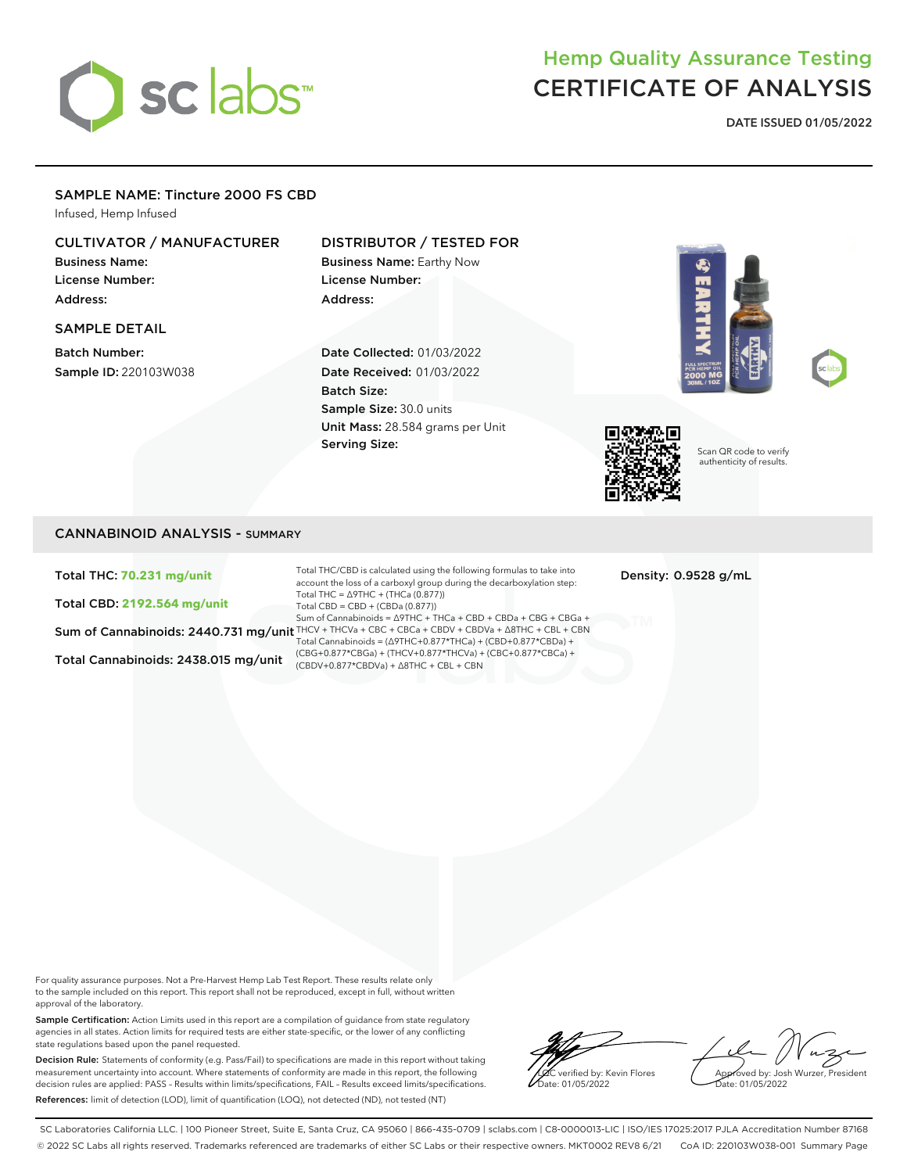# sclabs<sup>\*</sup>

## Hemp Quality Assurance Testing CERTIFICATE OF ANALYSIS

**DATE ISSUED 01/05/2022**

#### SAMPLE NAME: Tincture 2000 FS CBD

Infused, Hemp Infused

#### CULTIVATOR / MANUFACTURER

Business Name: License Number: Address:

#### SAMPLE DETAIL

Batch Number: Sample ID: 220103W038

#### DISTRIBUTOR / TESTED FOR

Business Name: Earthy Now License Number: Address:

Date Collected: 01/03/2022 Date Received: 01/03/2022 Batch Size: Sample Size: 30.0 units Unit Mass: 28.584 grams per Unit Serving Size:







Scan QR code to verify authenticity of results.

#### CANNABINOID ANALYSIS - SUMMARY

Total THC: **70.231 mg/unit**

Total CBD: **2192.564 mg/unit**

Total Cannabinoids: 2438.015 mg/unit

Sum of Cannabinoids: 2440.731 mg/unit THCV + THCVa + CBC + CBCa + CBDV + CBDVa + ∆8THC + CBL + CBN Total THC/CBD is calculated using the following formulas to take into account the loss of a carboxyl group during the decarboxylation step: Total THC = ∆9THC + (THCa (0.877)) Total CBD = CBD + (CBDa (0.877)) Sum of Cannabinoids = ∆9THC + THCa + CBD + CBDa + CBG + CBGa + Total Cannabinoids = (∆9THC+0.877\*THCa) + (CBD+0.877\*CBDa) + (CBG+0.877\*CBGa) + (THCV+0.877\*THCVa) + (CBC+0.877\*CBCa) + (CBDV+0.877\*CBDVa) + ∆8THC + CBL + CBN

Density: 0.9528 g/mL

For quality assurance purposes. Not a Pre-Harvest Hemp Lab Test Report. These results relate only to the sample included on this report. This report shall not be reproduced, except in full, without written approval of the laboratory.

Sample Certification: Action Limits used in this report are a compilation of guidance from state regulatory agencies in all states. Action limits for required tests are either state-specific, or the lower of any conflicting state regulations based upon the panel requested.

Decision Rule: Statements of conformity (e.g. Pass/Fail) to specifications are made in this report without taking measurement uncertainty into account. Where statements of conformity are made in this report, the following decision rules are applied: PASS – Results within limits/specifications, FAIL – Results exceed limits/specifications. References: limit of detection (LOD), limit of quantification (LOQ), not detected (ND), not tested (NT)

verified by: Kevin Flores ate: 01/05/2022

Approved by: Josh Wurzer, President Date: 01/05/2022

SC Laboratories California LLC. | 100 Pioneer Street, Suite E, Santa Cruz, CA 95060 | 866-435-0709 | sclabs.com | C8-0000013-LIC | ISO/IES 17025:2017 PJLA Accreditation Number 87168 © 2022 SC Labs all rights reserved. Trademarks referenced are trademarks of either SC Labs or their respective owners. MKT0002 REV8 6/21 CoA ID: 220103W038-001 Summary Page